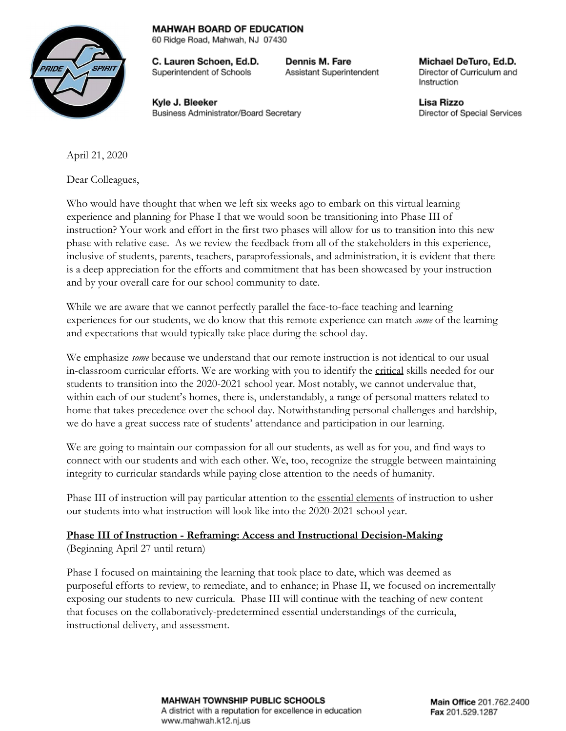## **MAHWAH BOARD OF EDUCATION**

60 Ridge Road, Mahwah, NJ 07430

C. Lauren Schoen, Ed.D. Superintendent of Schools

Dennis M. Fare Assistant Superintendent

Michael DeTuro, Ed.D. Director of Curriculum and Instruction

Kyle J. Bleeker Business Administrator/Board Secretary Lisa Rizzo Director of Special Services

April 21, 2020

Dear Colleagues,

Who would have thought that when we left six weeks ago to embark on this virtual learning experience and planning for Phase I that we would soon be transitioning into Phase III of instruction? Your work and effort in the first two phases will allow for us to transition into this new phase with relative ease. As we review the feedback from all of the stakeholders in this experience, inclusive of students, parents, teachers, paraprofessionals, and administration, it is evident that there is a deep appreciation for the efforts and commitment that has been showcased by your instruction and by your overall care for our school community to date.

While we are aware that we cannot perfectly parallel the face-to-face teaching and learning experiences for our students, we do know that this remote experience can match *some* of the learning and expectations that would typically take place during the school day.

We emphasize *some* because we understand that our remote instruction is not identical to our usual in-classroom curricular efforts. We are working with you to identify the critical skills needed for our students to transition into the 2020-2021 school year. Most notably, we cannot undervalue that, within each of our student's homes, there is, understandably, a range of personal matters related to home that takes precedence over the school day. Notwithstanding personal challenges and hardship, we do have a great success rate of students' attendance and participation in our learning.

We are going to maintain our compassion for all our students, as well as for you, and find ways to connect with our students and with each other. We, too, recognize the struggle between maintaining integrity to curricular standards while paying close attention to the needs of humanity.

Phase III of instruction will pay particular attention to the essential elements of instruction to usher our students into what instruction will look like into the 2020-2021 school year.

## **Phase III of Instruction - Reframing: Access and Instructional Decision-Making** (Beginning April 27 until return)

Phase I focused on maintaining the learning that took place to date, which was deemed as purposeful efforts to review, to remediate, and to enhance; in Phase II, we focused on incrementally exposing our students to new curricula. Phase III will continue with the teaching of new content that focuses on the collaboratively-predetermined essential understandings of the curricula, instructional delivery, and assessment.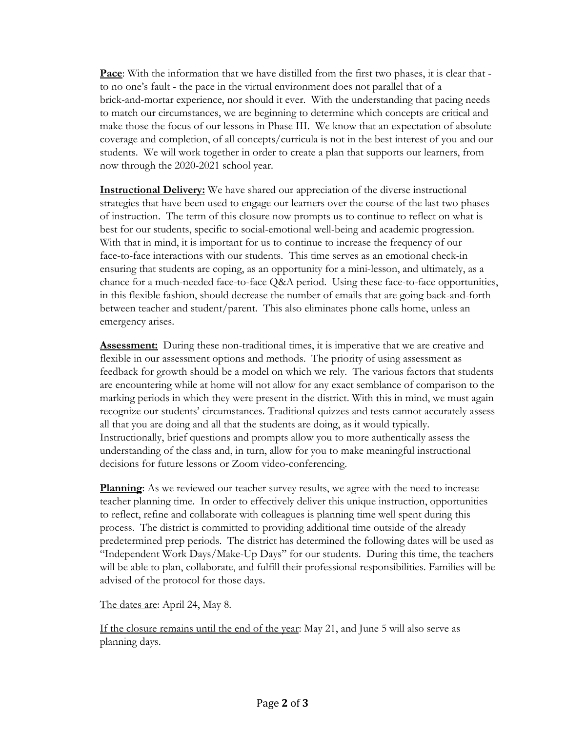**Pace**: With the information that we have distilled from the first two phases, it is clear that to no one's fault - the pace in the virtual environment does not parallel that of a brick-and-mortar experience, nor should it ever. With the understanding that pacing needs to match our circumstances, we are beginning to determine which concepts are critical and make those the focus of our lessons in Phase III. We know that an expectation of absolute coverage and completion, of all concepts/curricula is not in the best interest of you and our students. We will work together in order to create a plan that supports our learners, from now through the 2020-2021 school year.

**Instructional Delivery:** We have shared our appreciation of the diverse instructional strategies that have been used to engage our learners over the course of the last two phases of instruction. The term of this closure now prompts us to continue to reflect on what is best for our students, specific to social-emotional well-being and academic progression. With that in mind, it is important for us to continue to increase the frequency of our face-to-face interactions with our students. This time serves as an emotional check-in ensuring that students are coping, as an opportunity for a mini-lesson, and ultimately, as a chance for a much-needed face-to-face Q&A period. Using these face-to-face opportunities, in this flexible fashion, should decrease the number of emails that are going back-and-forth between teacher and student/parent. This also eliminates phone calls home, unless an emergency arises.

**Assessment:** During these non-traditional times, it is imperative that we are creative and flexible in our assessment options and methods. The priority of using assessment as feedback for growth should be a model on which we rely. The various factors that students are encountering while at home will not allow for any exact semblance of comparison to the marking periods in which they were present in the district. With this in mind, we must again recognize our students' circumstances. Traditional quizzes and tests cannot accurately assess all that you are doing and all that the students are doing, as it would typically. Instructionally, brief questions and prompts allow you to more authentically assess the understanding of the class and, in turn, allow for you to make meaningful instructional decisions for future lessons or Zoom video-conferencing.

**Planning**: As we reviewed our teacher survey results, we agree with the need to increase teacher planning time. In order to effectively deliver this unique instruction, opportunities to reflect, refine and collaborate with colleagues is planning time well spent during this process. The district is committed to providing additional time outside of the already predetermined prep periods. The district has determined the following dates will be used as "Independent Work Days/Make-Up Days" for our students. During this time, the teachers will be able to plan, collaborate, and fulfill their professional responsibilities. Families will be advised of the protocol for those days.

The dates are: April 24, May 8.

If the closure remains until the end of the year: May 21, and June 5 will also serve as planning days.